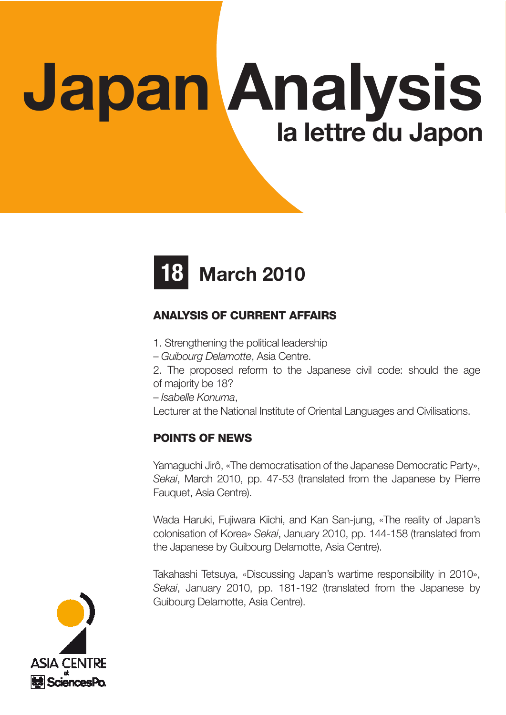# Japan Analysis la lettre du Japon



# ANALYSIS OF CURRENT AFFAIRS

- 1. Strengthening the political leadership
- Guibourg Delamotte, Asia Centre.
- 2. The proposed reform to the Japanese civil code: should the age of majority be 18?
- Isabelle Konuma,

Lecturer at the National Institute of Oriental Languages and Civilisations.

# POINTS OF NEWS

Yamaguchi Jirô, «The democratisation of the Japanese Democratic Party», Sekai, March 2010, pp. 47-53 (translated from the Japanese by Pierre Fauquet, Asia Centre).

Wada Haruki, Fujiwara Kiichi, and Kan San-jung, «The reality of Japan's colonisation of Korea» Sekai, January 2010, pp. 144-158 (translated from the Japanese by Guibourg Delamotte, Asia Centre).

Takahashi Tetsuya, «Discussing Japan's wartime responsibility in 2010», Sekai, January 2010, pp. 181-192 (translated from the Japanese by Guibourg Delamotte, Asia Centre).

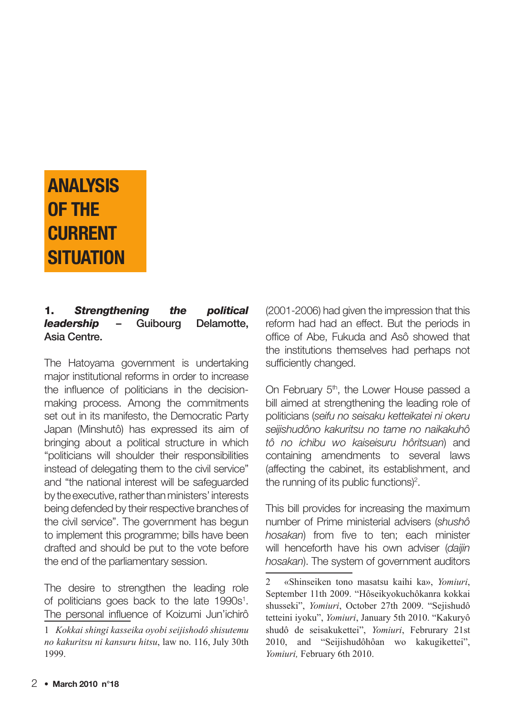# ANALYSIS OF THE **CURRENT SITUATION**

#### 1. Strengthening the political *leadership* – Guibourg Delamotte, Asia Centre.

The Hatoyama government is undertaking major institutional reforms in order to increase the influence of politicians in the decisionmaking process. Among the commitments set out in its manifesto, the Democratic Party Japan (Minshutô) has expressed its aim of bringing about a political structure in which "politicians will shoulder their responsibilities instead of delegating them to the civil service" and "the national interest will be safeguarded by the executive, rather than ministers' interests being defended by their respective branches of the civil service". The government has begun to implement this programme; bills have been drafted and should be put to the vote before the end of the parliamentary session.

The desire to strengthen the leading role of politicians goes back to the late 1990s<sup>1</sup>. The personal influence of Koizumi Jun'ichirô

(2001-2006) had given the impression that this reform had had an effect. But the periods in office of Abe, Fukuda and Asô showed that the institutions themselves had perhaps not sufficiently changed.

On February 5<sup>th</sup>, the Lower House passed a bill aimed at strengthening the leading role of politicians (seifu no seisaku ketteikatei ni okeru seijishudôno kakuritsu no tame no naikakuhô tô no ichibu wo kaiseisuru hôritsuan) and containing amendments to several laws (affecting the cabinet, its establishment, and the running of its public functions) $2$ .

This bill provides for increasing the maximum number of Prime ministerial advisers (shushô hosakan) from five to ten; each minister will henceforth have his own adviser (daijin hosakan). The system of government auditors

<sup>1</sup> *Kokkai shingi kasseika oyobi seijishodô shisutemu no kakuritsu ni kansuru hitsu*, law no. 116, July 30th 1999.

<sup>2 «</sup>Shinseiken tono masatsu kaihi ka», *Yomiuri*, September 11th 2009. "Hôseikyokuchôkanra kokkai shusseki", *Yomiuri*, October 27th 2009. "Sejishudô tetteini iyoku", *Yomiuri*, January 5th 2010. "Kakuryô shudô de seisakukettei", *Yomiuri*, Februrary 21st 2010, and "Seijishudôhôan wo kakugikettei", *Yomiuri,* February 6th 2010.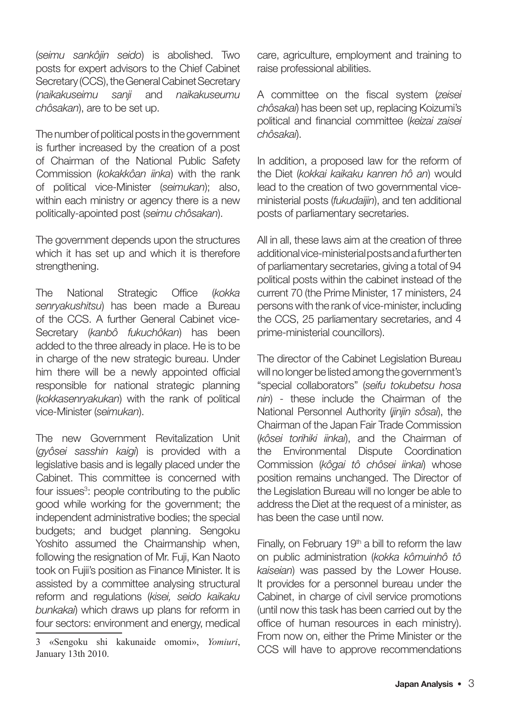(seimu sankôjin seido) is abolished. Two posts for expert advisors to the Chief Cabinet Secretary (CCS), the General Cabinet Secretary (naikakuseimu sanji and naikakuseumu chôsakan), are to be set up.

The number of political posts in the government is further increased by the creation of a post of Chairman of the National Public Safety Commission (kokakkôan iinka) with the rank of political vice-Minister (seimukan); also, within each ministry or agency there is a new politically-apointed post (seimu chôsakan).

The government depends upon the structures which it has set up and which it is therefore strengthening.

The National Strategic Office (kokka senryakushitsu) has been made a Bureau of the CCS. A further General Cabinet vice-Secretary (kanbô fukuchôkan) has been added to the three already in place. He is to be in charge of the new strategic bureau. Under him there will be a newly appointed official responsible for national strategic planning (kokkasenryakukan) with the rank of political vice-Minister (seimukan).

The new Government Revitalization Unit (gyôsei sasshin kaigi) is provided with a legislative basis and is legally placed under the Cabinet. This committee is concerned with four issues<sup>3</sup>: people contributing to the public good while working for the government; the independent administrative bodies; the special budgets; and budget planning. Sengoku Yoshito assumed the Chairmanship when, following the resignation of Mr. Fuji, Kan Naoto took on Fujii's position as Finance Minister. It is assisted by a committee analysing structural reform and regulations (kisei, seido kaikaku bunkakai) which draws up plans for reform in four sectors: environment and energy, medical

care, agriculture, employment and training to raise professional abilities.

A committee on the fiscal system (zeisei chôsakai) has been set up, replacing Koizumi's political and financial committee (keizai zaisei chôsakai).

In addition, a proposed law for the reform of the Diet (kokkai kaikaku kanren hô an) would lead to the creation of two governmental viceministerial posts (fukudaijin), and ten additional posts of parliamentary secretaries.

All in all, these laws aim at the creation of three additional vice-ministerial posts and a further ten of parliamentary secretaries, giving a total of 94 political posts within the cabinet instead of the current 70 (the Prime Minister, 17 ministers, 24 persons with the rank of vice-minister, including the CCS, 25 parliamentary secretaries, and 4 prime-ministerial councillors).

The director of the Cabinet Legislation Bureau will no longer be listed among the government's "special collaborators" (seifu tokubetsu hosa nin) - these include the Chairman of the National Personnel Authority (jinjin sôsaí), the Chairman of the Japan Fair Trade Commission (kôsei torihiki jinkai), and the Chairman of the Environmental Dispute Coordination Commission (kôgai tô chôsei jinkai) whose position remains unchanged. The Director of the Legislation Bureau will no longer be able to address the Diet at the request of a minister, as has been the case until now.

Finally, on February 19<sup>th</sup> a bill to reform the law on public administration (kokka kômuinhô tô kaiseian) was passed by the Lower House. It provides for a personnel bureau under the Cabinet, in charge of civil service promotions (until now this task has been carried out by the office of human resources in each ministry). From now on, either the Prime Minister or the CCS will have to approve recommendations

<sup>3 «</sup>Sengoku shi kakunaide omomi», *Yomiuri*, January 13th 2010.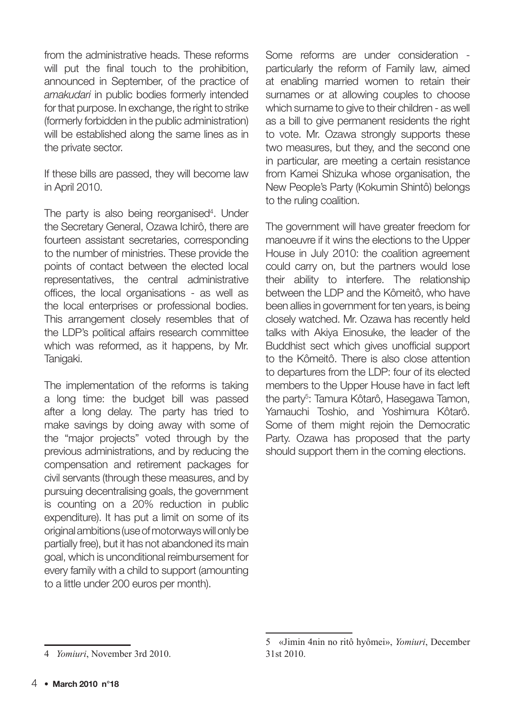from the administrative heads. These reforms will put the final touch to the prohibition. announced in September, of the practice of amakudari in public bodies formerly intended for that purpose. In exchange, the right to strike (formerly forbidden in the public administration) will be established along the same lines as in the private sector.

If these bills are passed, they will become law in April 2010.

The party is also being reorganised<sup>4</sup>. Under the Secretary General, Ozawa Ichirô, there are fourteen assistant secretaries, corresponding to the number of ministries. These provide the points of contact between the elected local representatives, the central administrative offices, the local organisations - as well as the local enterprises or professional bodies. This arrangement closely resembles that of the LDP's political affairs research committee which was reformed, as it happens, by Mr. Tanigaki.

The implementation of the reforms is taking a long time: the budget bill was passed after a long delay. The party has tried to make savings by doing away with some of the "major projects" voted through by the previous administrations, and by reducing the compensation and retirement packages for civil servants (through these measures, and by pursuing decentralising goals, the government is counting on a 20% reduction in public expenditure). It has put a limit on some of its original ambitions (use of motorways will only be partially free), but it has not abandoned its main goal, which is unconditional reimbursement for every family with a child to support (amounting to a little under 200 euros per month).

Some reforms are under consideration particularly the reform of Family law, aimed at enabling married women to retain their surnames or at allowing couples to choose which surname to give to their children - as well as a bill to give permanent residents the right to vote. Mr. Ozawa strongly supports these two measures, but they, and the second one in particular, are meeting a certain resistance from Kamei Shizuka whose organisation, the New People's Party (Kokumin Shintô) belongs to the ruling coalition.

The government will have greater freedom for manoeuvre if it wins the elections to the Upper House in July 2010: the coalition agreement could carry on, but the partners would lose their ability to interfere. The relationship between the LDP and the Kômeitô, who have been allies in government for ten years, is being closely watched. Mr. Ozawa has recently held talks with Akiya Einosuke, the leader of the Buddhist sect which gives unofficial support to the Kômeitô. There is also close attention to departures from the LDP: four of its elected members to the Upper House have in fact left the party<sup>5</sup>: Tamura Kôtarô, Hasegawa Tamon, Yamauchi Toshio, and Yoshimura Kôtarô. Some of them might rejoin the Democratic Party. Ozawa has proposed that the party should support them in the coming elections.

<sup>4</sup> *Yomiuri*, November 3rd 2010.

<sup>5 «</sup>Jimin 4nin no ritô hyômei», *Yomiuri*, December 31st 2010.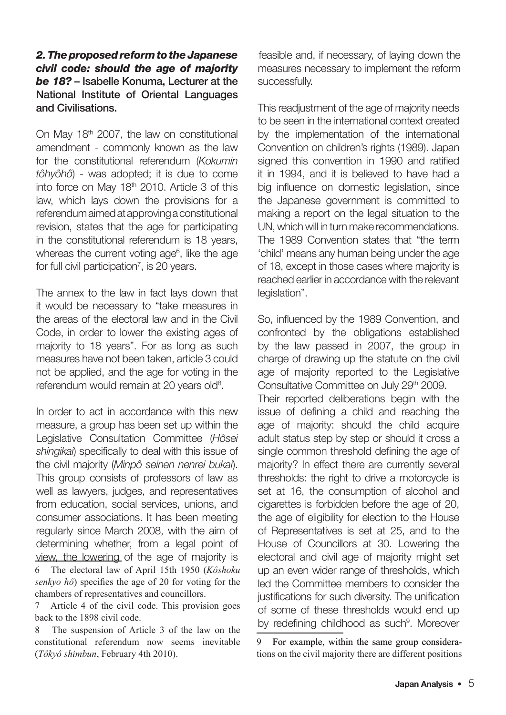#### 2. The proposed reform to the Japanese civil code: should the age of majority be 18? – Isabelle Konuma, Lecturer at the National Institute of Oriental Languages and Civilisations.

On May 18th 2007, the law on constitutional amendment - commonly known as the law for the constitutional referendum (Kokumin tôhyôhô) - was adopted; it is due to come into force on May 18th 2010. Article 3 of this law, which lays down the provisions for a referendum aimed at approving a constitutional revision, states that the age for participating in the constitutional referendum is 18 years, whereas the current voting age<sup>6</sup>, like the age for full civil participation<sup>7</sup>, is 20 years.

The annex to the law in fact lays down that it would be necessary to "take measures in the areas of the electoral law and in the Civil Code, in order to lower the existing ages of majority to 18 years". For as long as such measures have not been taken, article 3 could not be applied, and the age for voting in the referendum would remain at 20 years old<sup>8</sup>.

In order to act in accordance with this new measure, a group has been set up within the Legislative Consultation Committee (Hôsei shingikai) specifically to deal with this issue of the civil majority (Minpô seinen nenrei bukai). This group consists of professors of law as well as lawyers, judges, and representatives from education, social services, unions, and consumer associations. It has been meeting regularly since March 2008, with the aim of determining whether, from a legal point of view, the lowering of the age of majority is 6 The electoral law of April 15th 1950 (*Kôshoku senkyo hô*) specifies the age of 20 for voting for the chambers of representatives and councillors.

7 Article 4 of the civil code. This provision goes back to the 1898 civil code.

8 The suspension of Article 3 of the law on the constitutional referendum now seems inevitable (*Tôkyô shimbun*, February 4th 2010).

feasible and, if necessary, of laying down the measures necessary to implement the reform successfully.

This readjustment of the age of majority needs to be seen in the international context created by the implementation of the international Convention on children's rights (1989). Japan signed this convention in 1990 and ratified it in 1994, and it is believed to have had a big influence on domestic legislation, since the Japanese government is committed to making a report on the legal situation to the UN, which will in turn make recommendations. The 1989 Convention states that "the term 'child' means any human being under the age of 18, except in those cases where majority is reached earlier in accordance with the relevant legislation".

So, influenced by the 1989 Convention, and confronted by the obligations established by the law passed in 2007, the group in charge of drawing up the statute on the civil age of majority reported to the Legislative Consultative Committee on July 29th 2009.

Their reported deliberations begin with the issue of defining a child and reaching the age of majority: should the child acquire adult status step by step or should it cross a single common threshold defining the age of majority? In effect there are currently several thresholds: the right to drive a motorcycle is set at 16, the consumption of alcohol and cigarettes is forbidden before the age of 20, the age of eligibility for election to the House of Representatives is set at 25, and to the House of Councillors at 30. Lowering the electoral and civil age of majority might set up an even wider range of thresholds, which led the Committee members to consider the justifications for such diversity. The unification of some of these thresholds would end up by redefining childhood as such<sup>9</sup>. Moreover

9 For example, within the same group considerations on the civil majority there are different positions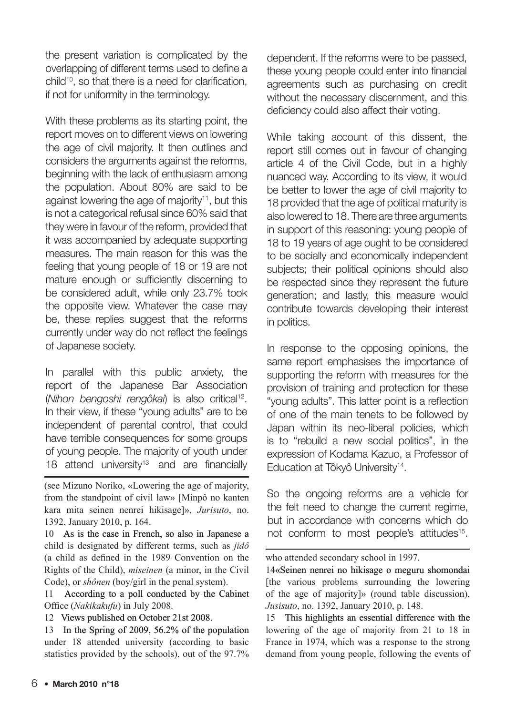the present variation is complicated by the overlapping of different terms used to define a child<sup>10</sup>, so that there is a need for clarification, if not for uniformity in the terminology.

With these problems as its starting point, the report moves on to different views on lowering the age of civil majority. It then outlines and considers the arguments against the reforms, beginning with the lack of enthusiasm among the population. About 80% are said to be against lowering the age of majority<sup>11</sup>, but this is not a categorical refusal since 60% said that they were in favour of the reform, provided that it was accompanied by adequate supporting measures. The main reason for this was the feeling that young people of 18 or 19 are not mature enough or sufficiently discerning to be considered adult, while only 23.7% took the opposite view. Whatever the case may be, these replies suggest that the reforms currently under way do not reflect the feelings of Japanese society.

In parallel with this public anxiety, the report of the Japanese Bar Association (Nihon bengoshi rengôkai) is also critical<sup>12</sup>. In their view, if these "young adults" are to be independent of parental control, that could have terrible consequences for some groups of young people. The majority of youth under 18 attend university<sup>13</sup> and are financially

(see Mizuno Noriko, «Lowering the age of majority, from the standpoint of civil law» [Minpô no kanten kara mita seinen nenrei hikisage]», *Jurisuto*, no. 1392, January 2010, p. 164.

 As is the case in French, so also in Japanese a child is designated by different terms, such as *jidô* (a child as defined in the 1989 Convention on the Rights of the Child), *miseinen* (a minor, in the Civil Code), or *shônen* (boy/girl in the penal system).

11 According to a poll conducted by the Cabinet Office (*Nakikakufu*) in July 2008.

12 Views published on October 21st 2008.

13 In the Spring of 2009, 56.2% of the population under 18 attended university (according to basic statistics provided by the schools), out of the 97.7% dependent. If the reforms were to be passed, these young people could enter into financial agreements such as purchasing on credit without the necessary discernment, and this deficiency could also affect their voting.

While taking account of this dissent, the report still comes out in favour of changing article 4 of the Civil Code, but in a highly nuanced way. According to its view, it would be better to lower the age of civil majority to 18 provided that the age of political maturity is also lowered to 18. There are three arguments in support of this reasoning: young people of 18 to 19 years of age ought to be considered to be socially and economically independent subjects; their political opinions should also be respected since they represent the future generation; and lastly, this measure would contribute towards developing their interest in politics.

In response to the opposing opinions, the same report emphasises the importance of supporting the reform with measures for the provision of training and protection for these "young adults". This latter point is a reflection of one of the main tenets to be followed by Japan within its neo-liberal policies, which is to "rebuild a new social politics", in the expression of Kodama Kazuo, a Professor of Education at Tôkyô University<sup>14</sup>.

So the ongoing reforms are a vehicle for the felt need to change the current regime, but in accordance with concerns which do not conform to most people's attitudes<sup>15</sup>.

who attended secondary school in 1997.

«Seinen nenrei no hikisage o meguru shomondai [the various problems surrounding the lowering of the age of majority]» (round table discussion), *Jusisuto*, no. 1392, January 2010, p. 148.

15 This highlights an essential difference with the lowering of the age of majority from 21 to 18 in France in 1974, which was a response to the strong demand from young people, following the events of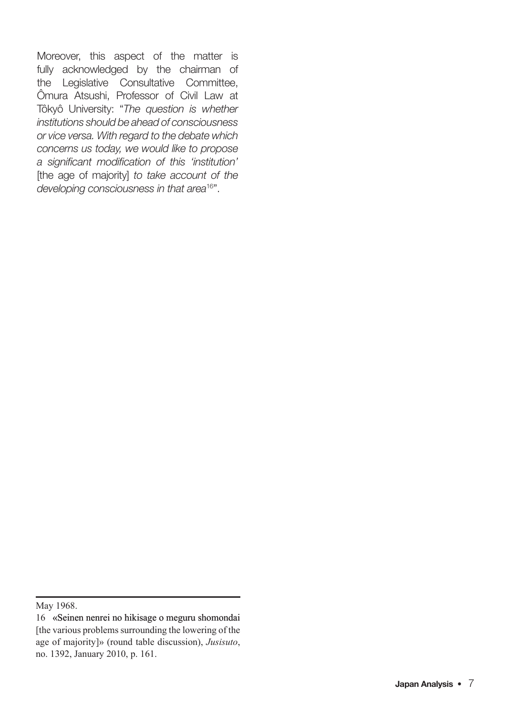Moreover, this aspect of the matter is fully acknowledged by the chairman of the Legislative Consultative Committee, Ômura Atsushi, Professor of Civil Law at Tôkyô University: "The question is whether institutions should be ahead of consciousness or vice versa. With regard to the debate which concerns us today, we would like to propose a significant modification of this 'institution' [the age of majority] to take account of the developing consciousness in that area<sup>16"</sup>.

May 1968.

 <sup>«</sup>Seinen nenrei no hikisage o meguru shomondai [the various problems surrounding the lowering of the age of majority]» (round table discussion), *Jusisuto*, no. 1392, January 2010, p. 161.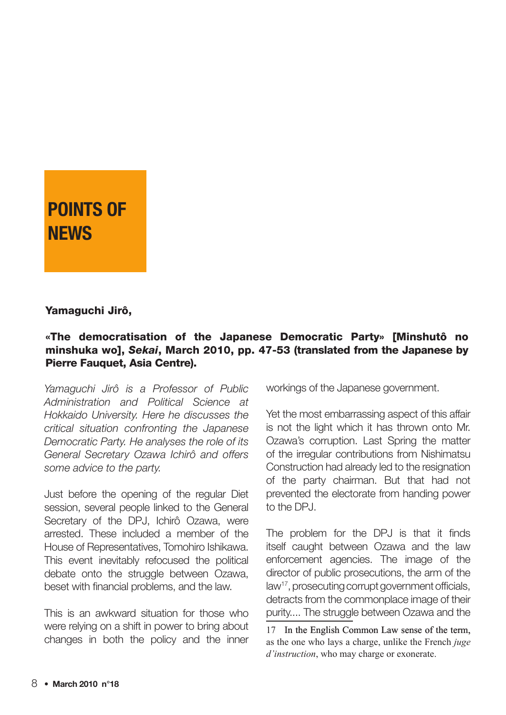# POINTS OF **NFWS**

#### Yamaguchi Jirô,

#### «The democratisation of the Japanese Democratic Party» [Minshutô no minshuka wo], Sekai, March 2010, pp. 47-53 (translated from the Japanese by Pierre Fauquet, Asia Centre).

Yamaguchi Jirô is a Professor of Public Administration and Political Science at Hokkaido University. Here he discusses the critical situation confronting the Japanese Democratic Party. He analyses the role of its General Secretary Ozawa Ichirô and offers some advice to the party.

Just before the opening of the regular Diet session, several people linked to the General Secretary of the DPJ, Ichirô Ozawa, were arrested. These included a member of the House of Representatives, Tomohiro Ishikawa. This event inevitably refocused the political debate onto the struggle between Ozawa, beset with financial problems, and the law.

This is an awkward situation for those who were relying on a shift in power to bring about changes in both the policy and the inner

workings of the Japanese government.

Yet the most embarrassing aspect of this affair is not the light which it has thrown onto Mr. Ozawa's corruption. Last Spring the matter of the irregular contributions from Nishimatsu Construction had already led to the resignation of the party chairman. But that had not prevented the electorate from handing power to the DPJ.

The problem for the DPJ is that it finds itself caught between Ozawa and the law enforcement agencies. The image of the director of public prosecutions, the arm of the law<sup>17</sup>, prosecuting corrupt government officials, detracts from the commonplace image of their purity.... The struggle between Ozawa and the

17 In the English Common Law sense of the term, as the one who lays a charge, unlike the French *juge d'instruction*, who may charge or exonerate.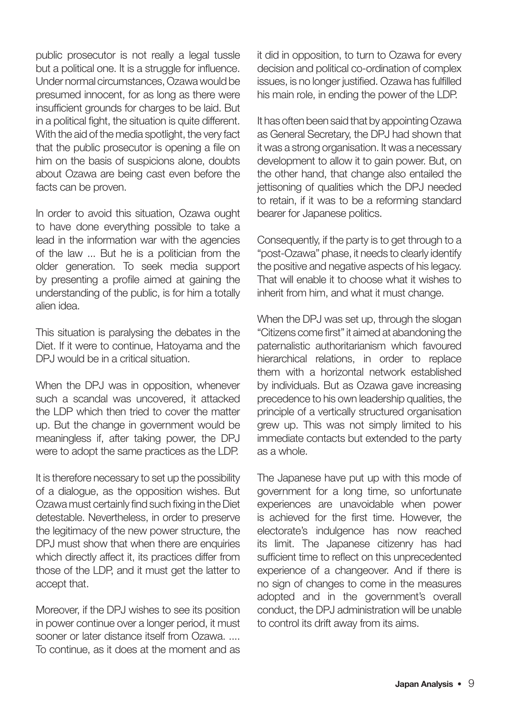public prosecutor is not really a legal tussle but a political one. It is a struggle for influence. Under normal circumstances, Ozawa would be presumed innocent, for as long as there were insufficient grounds for charges to be laid. But in a political fight, the situation is quite different. With the aid of the media spotlight, the very fact that the public prosecutor is opening a file on him on the basis of suspicions alone, doubts about Ozawa are being cast even before the facts can be proven.

In order to avoid this situation, Ozawa ought to have done everything possible to take a lead in the information war with the agencies of the law ... But he is a politician from the older generation. To seek media support by presenting a profile aimed at gaining the understanding of the public, is for him a totally alien idea.

This situation is paralysing the debates in the Diet. If it were to continue, Hatoyama and the DPJ would be in a critical situation.

When the DPJ was in opposition, whenever such a scandal was uncovered, it attacked the LDP which then tried to cover the matter up. But the change in government would be meaningless if, after taking power, the DPJ were to adopt the same practices as the LDP.

It is therefore necessary to set up the possibility of a dialogue, as the opposition wishes. But Ozawa must certainly find such fixing in the Diet detestable. Nevertheless, in order to preserve the legitimacy of the new power structure, the DPJ must show that when there are enquiries which directly affect it, its practices differ from those of the LDP, and it must get the latter to accept that.

Moreover, if the DPJ wishes to see its position in power continue over a longer period, it must sooner or later distance itself from Ozawa. .... To continue, as it does at the moment and as

it did in opposition, to turn to Ozawa for every decision and political co-ordination of complex issues, is no longer justified. Ozawa has fulfilled his main role, in ending the power of the LDP.

It has often been said that by appointing Ozawa as General Secretary, the DPJ had shown that it was a strong organisation. It was a necessary development to allow it to gain power. But, on the other hand, that change also entailed the jettisoning of qualities which the DPJ needed to retain, if it was to be a reforming standard bearer for Japanese politics.

Consequently, if the party is to get through to a "post-Ozawa" phase, it needs to clearly identify the positive and negative aspects of his legacy. That will enable it to choose what it wishes to inherit from him, and what it must change.

When the DPJ was set up, through the slogan "Citizens come first" it aimed at abandoning the paternalistic authoritarianism which favoured hierarchical relations, in order to replace them with a horizontal network established by individuals. But as Ozawa gave increasing precedence to his own leadership qualities, the principle of a vertically structured organisation grew up. This was not simply limited to his immediate contacts but extended to the party as a whole.

The Japanese have put up with this mode of government for a long time, so unfortunate experiences are unavoidable when power is achieved for the first time. However, the electorate's indulgence has now reached its limit. The Japanese citizenry has had sufficient time to reflect on this unprecedented experience of a changeover. And if there is no sign of changes to come in the measures adopted and in the government's overall conduct, the DPJ administration will be unable to control its drift away from its aims.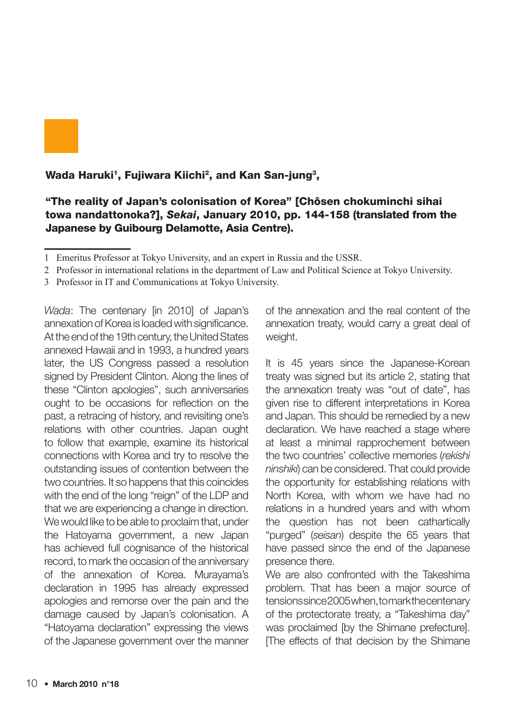

Wada Haruki<sup>1</sup>, Fujiwara Kiichi<sup>2</sup>, and Kan San-jung<sup>3</sup>,

#### "The reality of Japan's colonisation of Korea" [Chôsen chokuminchi sihai towa nandattonoka?], Sekai, January 2010, pp. 144-158 (translated from the Japanese by Guibourg Delamotte, Asia Centre).

- 2 Professor in international relations in the department of Law and Political Science at Tokyo University.
- 3 Professor in IT and Communications at Tokyo University.

Wada: The centenary [in 2010] of Japan's annexation of Korea is loaded with significance. At the end of the 19th century, the United States annexed Hawaii and in 1993, a hundred years later, the US Congress passed a resolution signed by President Clinton. Along the lines of these "Clinton apologies", such anniversaries ought to be occasions for reflection on the past, a retracing of history, and revisiting one's relations with other countries. Japan ought to follow that example, examine its historical connections with Korea and try to resolve the outstanding issues of contention between the two countries. It so happens that this coincides with the end of the long "reign" of the LDP and that we are experiencing a change in direction. We would like to be able to proclaim that, under the Hatoyama government, a new Japan has achieved full cognisance of the historical record, to mark the occasion of the anniversary of the annexation of Korea. Murayama's declaration in 1995 has already expressed apologies and remorse over the pain and the damage caused by Japan's colonisation. A "Hatoyama declaration" expressing the views of the Japanese government over the manner

of the annexation and the real content of the annexation treaty, would carry a great deal of weight.

It is 45 years since the Japanese-Korean treaty was signed but its article 2, stating that the annexation treaty was "out of date", has given rise to different interpretations in Korea and Japan. This should be remedied by a new declaration. We have reached a stage where at least a minimal rapprochement between the two countries' collective memories (rekishi ninshiki) can be considered. That could provide the opportunity for establishing relations with North Korea, with whom we have had no relations in a hundred years and with whom the question has not been cathartically "purged" (seisan) despite the 65 years that have passed since the end of the Japanese presence there.

We are also confronted with the Takeshima problem. That has been a major source of tensions since 2005 when, to mark the centenary of the protectorate treaty, a "Takeshima day" was proclaimed [by the Shimane prefecture]. The effects of that decision by the Shimane

<sup>1</sup> Emeritus Professor at Tokyo University, and an expert in Russia and the USSR.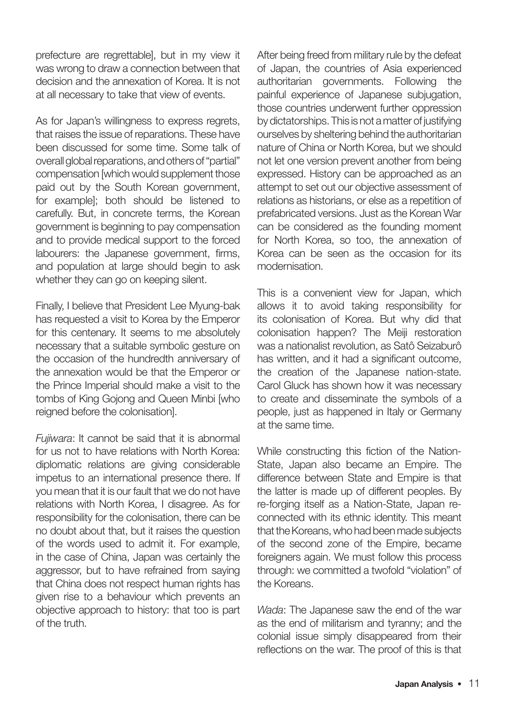prefecture are regrettable], but in my view it was wrong to draw a connection between that decision and the annexation of Korea. It is not at all necessary to take that view of events.

As for Japan's willingness to express regrets, that raises the issue of reparations. These have been discussed for some time. Some talk of overall global reparations, and others of "partial" compensation [which would supplement those paid out by the South Korean government, for example]; both should be listened to carefully. But, in concrete terms, the Korean government is beginning to pay compensation and to provide medical support to the forced labourers: the Japanese government, firms, and population at large should begin to ask whether they can go on keeping silent.

Finally, I believe that President Lee Myung-bak has requested a visit to Korea by the Emperor for this centenary. It seems to me absolutely necessary that a suitable symbolic gesture on the occasion of the hundredth anniversary of the annexation would be that the Emperor or the Prince Imperial should make a visit to the tombs of King Gojong and Queen Minbi [who reigned before the colonisation].

Fujiwara: It cannot be said that it is abnormal for us not to have relations with North Korea: diplomatic relations are giving considerable impetus to an international presence there. If you mean that it is our fault that we do not have relations with North Korea, I disagree. As for responsibility for the colonisation, there can be no doubt about that, but it raises the question of the words used to admit it. For example, in the case of China, Japan was certainly the aggressor, but to have refrained from saying that China does not respect human rights has given rise to a behaviour which prevents an objective approach to history: that too is part of the truth.

After being freed from military rule by the defeat of Japan, the countries of Asia experienced authoritarian governments. Following the painful experience of Japanese subjugation, those countries underwent further oppression by dictatorships. This is not a matter of justifying ourselves by sheltering behind the authoritarian nature of China or North Korea, but we should not let one version prevent another from being expressed. History can be approached as an attempt to set out our objective assessment of relations as historians, or else as a repetition of prefabricated versions. Just as the Korean War can be considered as the founding moment for North Korea, so too, the annexation of Korea can be seen as the occasion for its modernisation.

This is a convenient view for Japan, which allows it to avoid taking responsibility for its colonisation of Korea. But why did that colonisation happen? The Meiji restoration was a nationalist revolution, as Satô Seizaburô has written, and it had a significant outcome, the creation of the Japanese nation-state. Carol Gluck has shown how it was necessary to create and disseminate the symbols of a people, just as happened in Italy or Germany at the same time.

While constructing this fiction of the Nation-State, Japan also became an Empire. The difference between State and Empire is that the latter is made up of different peoples. By re-forging itself as a Nation-State, Japan reconnected with its ethnic identity. This meant that the Koreans, who had been made subjects of the second zone of the Empire, became foreigners again. We must follow this process through: we committed a twofold "violation" of the Koreans.

Wada: The Japanese saw the end of the war as the end of militarism and tyranny; and the colonial issue simply disappeared from their reflections on the war. The proof of this is that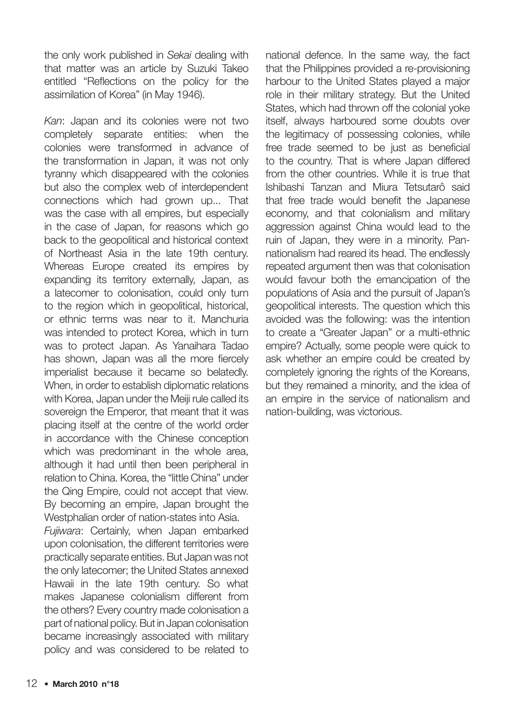the only work published in Sekai dealing with that matter was an article by Suzuki Takeo entitled "Reflections on the policy for the assimilation of Korea" (in May 1946).

Kan: Japan and its colonies were not two completely separate entities: when the colonies were transformed in advance of the transformation in Japan, it was not only tyranny which disappeared with the colonies but also the complex web of interdependent connections which had grown up... That was the case with all empires, but especially in the case of Japan, for reasons which go back to the geopolitical and historical context of Northeast Asia in the late 19th century. Whereas Europe created its empires by expanding its territory externally, Japan, as a latecomer to colonisation, could only turn to the region which in geopolitical, historical, or ethnic terms was near to it. Manchuria was intended to protect Korea, which in turn was to protect Japan. As Yanaihara Tadao has shown, Japan was all the more fiercely imperialist because it became so belatedly. When, in order to establish diplomatic relations with Korea, Japan under the Meiji rule called its sovereign the Emperor, that meant that it was placing itself at the centre of the world order in accordance with the Chinese conception which was predominant in the whole area, although it had until then been peripheral in relation to China. Korea, the "little China" under the Qing Empire, could not accept that view. By becoming an empire, Japan brought the Westphalian order of nation-states into Asia.

Fujiwara: Certainly, when Japan embarked upon colonisation, the different territories were practically separate entities. But Japan was not the only latecomer; the United States annexed Hawaii in the late 19th century. So what makes Japanese colonialism different from the others? Every country made colonisation a part of national policy. But in Japan colonisation became increasingly associated with military policy and was considered to be related to

national defence. In the same way, the fact that the Philippines provided a re-provisioning harbour to the United States played a major role in their military strategy. But the United States, which had thrown off the colonial yoke itself, always harboured some doubts over the legitimacy of possessing colonies, while free trade seemed to be just as beneficial to the country. That is where Japan differed from the other countries. While it is true that Ishibashi Tanzan and Miura Tetsutarô said that free trade would benefit the Japanese economy, and that colonialism and military aggression against China would lead to the ruin of Japan, they were in a minority. Pannationalism had reared its head. The endlessly repeated argument then was that colonisation would favour both the emancipation of the populations of Asia and the pursuit of Japan's geopolitical interests. The question which this avoided was the following: was the intention to create a "Greater Japan" or a multi-ethnic empire? Actually, some people were quick to ask whether an empire could be created by completely ignoring the rights of the Koreans, but they remained a minority, and the idea of an empire in the service of nationalism and nation-building, was victorious.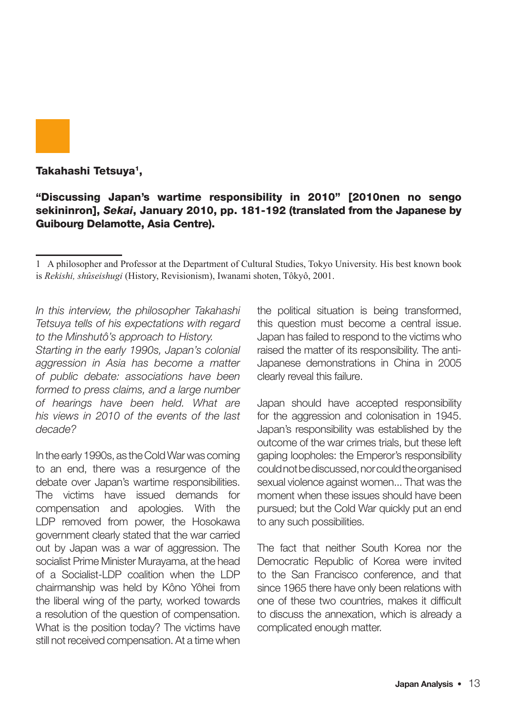

#### Takahashi Tetsuya<sup>1</sup>,

#### "Discussing Japan's wartime responsibility in 2010" [2010nen no sengo sekininron], Sekai, January 2010, pp. 181-192 (translated from the Japanese by Guibourg Delamotte, Asia Centre).

In this interview, the philosopher Takahashi Tetsuya tells of his expectations with regard to the Minshutô's approach to History.

Starting in the early 1990s, Japan's colonial aggression in Asia has become a matter of public debate: associations have been formed to press claims, and a large number of hearings have been held. What are his views in 2010 of the events of the last decade?

In the early 1990s, as the Cold War was coming to an end, there was a resurgence of the debate over Japan's wartime responsibilities. The victims have issued demands for compensation and apologies. With the LDP removed from power, the Hosokawa government clearly stated that the war carried out by Japan was a war of aggression. The socialist Prime Minister Murayama, at the head of a Socialist-LDP coalition when the LDP chairmanship was held by Kôno Yôhei from the liberal wing of the party, worked towards a resolution of the question of compensation. What is the position today? The victims have still not received compensation. At a time when

the political situation is being transformed, this question must become a central issue. Japan has failed to respond to the victims who raised the matter of its responsibility. The anti-Japanese demonstrations in China in 2005 clearly reveal this failure.

Japan should have accepted responsibility for the aggression and colonisation in 1945. Japan's responsibility was established by the outcome of the war crimes trials, but these left gaping loopholes: the Emperor's responsibility could not be discussed, nor could the organised sexual violence against women... That was the moment when these issues should have been pursued; but the Cold War quickly put an end to any such possibilities.

The fact that neither South Korea nor the Democratic Republic of Korea were invited to the San Francisco conference, and that since 1965 there have only been relations with one of these two countries, makes it difficult to discuss the annexation, which is already a complicated enough matter.

<sup>1</sup> A philosopher and Professor at the Department of Cultural Studies, Tokyo University. His best known book is *Rekishi, shûseishugi* (History, Revisionism), Iwanami shoten, Tôkyô, 2001.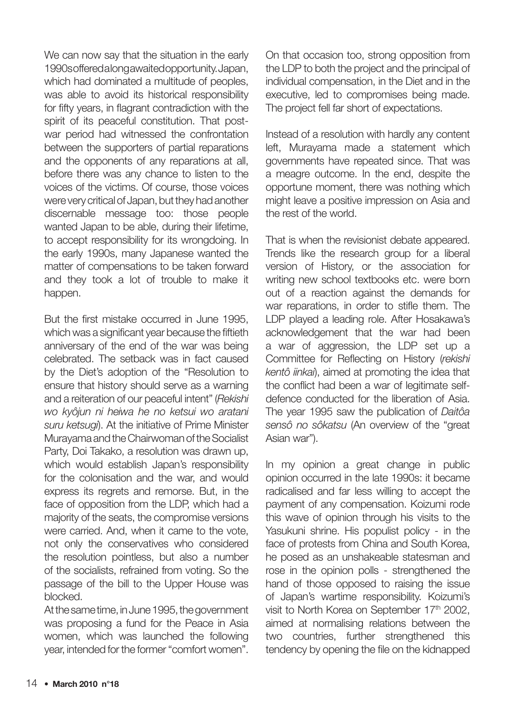We can now say that the situation in the early 1990s offered a long awaited opportunity. Japan. which had dominated a multitude of peoples. was able to avoid its historical responsibility for fifty years, in flagrant contradiction with the spirit of its peaceful constitution. That postwar period had witnessed the confrontation between the supporters of partial reparations and the opponents of any reparations at all, before there was any chance to listen to the voices of the victims. Of course, those voices were very critical of Japan, but they had another discernable message too: those people wanted Japan to be able, during their lifetime, to accept responsibility for its wrongdoing. In the early 1990s, many Japanese wanted the matter of compensations to be taken forward and they took a lot of trouble to make it happen.

But the first mistake occurred in June 1995, which was a significant year because the fiftieth anniversary of the end of the war was being celebrated. The setback was in fact caused by the Diet's adoption of the "Resolution to ensure that history should serve as a warning and a reiteration of our peaceful intent" (Rekishi wo kyôjun ni heiwa he no ketsui wo aratani suru ketsugi). At the initiative of Prime Minister Murayama and the Chairwoman of the Socialist Party, Doi Takako, a resolution was drawn up, which would establish Japan's responsibility for the colonisation and the war, and would express its regrets and remorse. But, in the face of opposition from the LDP, which had a majority of the seats, the compromise versions were carried. And, when it came to the vote, not only the conservatives who considered the resolution pointless, but also a number of the socialists, refrained from voting. So the passage of the bill to the Upper House was blocked.

At the same time, in June 1995, the government was proposing a fund for the Peace in Asia women, which was launched the following year, intended for the former "comfort women".

On that occasion too, strong opposition from the LDP to both the project and the principal of individual compensation, in the Diet and in the executive, led to compromises being made. The project fell far short of expectations.

Instead of a resolution with hardly any content left, Murayama made a statement which governments have repeated since. That was a meagre outcome. In the end, despite the opportune moment, there was nothing which might leave a positive impression on Asia and the rest of the world.

That is when the revisionist debate appeared. Trends like the research group for a liberal version of History, or the association for writing new school textbooks etc. were born out of a reaction against the demands for war reparations, in order to stifle them. The LDP played a leading role. After Hosakawa's acknowledgement that the war had been a war of aggression, the LDP set up a Committee for Reflecting on History (rekishi kentô iinkai), aimed at promoting the idea that the conflict had been a war of legitimate selfdefence conducted for the liberation of Asia. The year 1995 saw the publication of Daitôa sensô no sôkatsu (An overview of the "great Asian war").

In my opinion a great change in public opinion occurred in the late 1990s: it became radicalised and far less willing to accept the payment of any compensation. Koizumi rode this wave of opinion through his visits to the Yasukuni shrine. His populist policy - in the face of protests from China and South Korea, he posed as an unshakeable statesman and rose in the opinion polls - strengthened the hand of those opposed to raising the issue of Japan's wartime responsibility. Koizumi's visit to North Korea on September 17<sup>th</sup> 2002, aimed at normalising relations between the two countries, further strengthened this tendency by opening the file on the kidnapped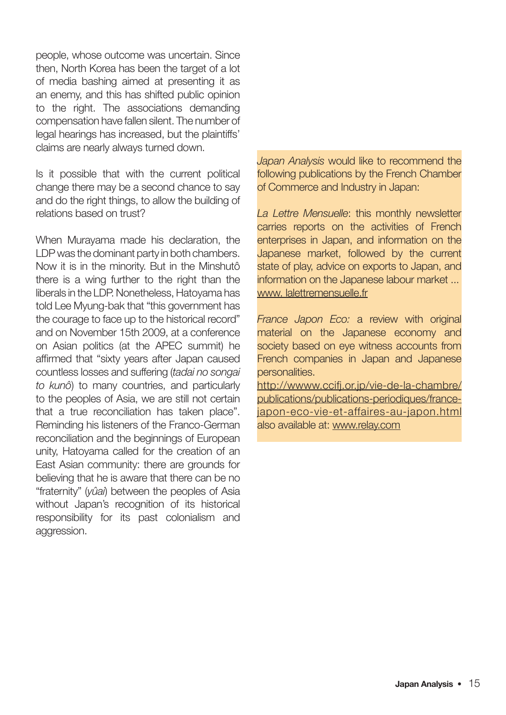people, whose outcome was uncertain. Since then, North Korea has been the target of a lot of media bashing aimed at presenting it as an enemy, and this has shifted public opinion to the right. The associations demanding compensation have fallen silent. The number of legal hearings has increased, but the plaintiffs' claims are nearly always turned down.

Is it possible that with the current political change there may be a second chance to say and do the right things, to allow the building of relations based on trust?

When Murayama made his declaration, the LDP was the dominant party in both chambers. Now it is in the minority. But in the Minshutô there is a wing further to the right than the liberals in the LDP. Nonetheless, Hatoyama has told Lee Myung-bak that "this government has the courage to face up to the historical record" and on November 15th 2009, at a conference on Asian politics (at the APEC summit) he affirmed that "sixty years after Japan caused countless losses and suffering (tadai no songai to kunô) to many countries, and particularly to the peoples of Asia, we are still not certain that a true reconciliation has taken place". Reminding his listeners of the Franco-German reconciliation and the beginnings of European unity, Hatoyama called for the creation of an East Asian community: there are grounds for believing that he is aware that there can be no "fraternity" (vûai) between the peoples of Asia without Japan's recognition of its historical responsibility for its past colonialism and aggression.

Japan Analysis would like to recommend the following publications by the French Chamber of Commerce and Industry in Japan:

La Lettre Mensuelle: this monthly newsletter carries reports on the activities of French enterprises in Japan, and information on the Japanese market, followed by the current state of play, advice on exports to Japan, and information on the Japanese labour market ... www. lalettremensuelle.fr

France Japon Eco: a review with original material on the Japanese economy and society based on eye witness accounts from French companies in Japan and Japanese personalities.

http://wwww.ccifj.or.jp/vie-de-la-chambre/ publications/publications-periodiques/francejapon-eco-vie-et-affaires-au-japon.html also available at: www.relay.com